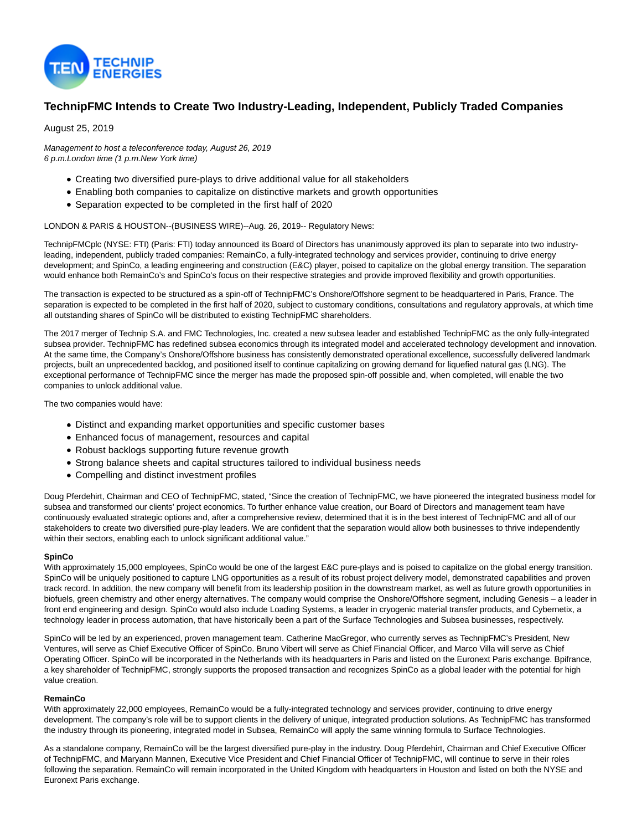

# **TechnipFMC Intends to Create Two Industry-Leading, Independent, Publicly Traded Companies**

August 25, 2019

Management to host a teleconference today, August 26, 2019 6 p.m.London time (1 p.m.New York time)

- Creating two diversified pure-plays to drive additional value for all stakeholders
- Enabling both companies to capitalize on distinctive markets and growth opportunities
- Separation expected to be completed in the first half of 2020

## LONDON & PARIS & HOUSTON--(BUSINESS WIRE)--Aug. 26, 2019-- Regulatory News:

TechnipFMCplc (NYSE: FTI) (Paris: FTI) today announced its Board of Directors has unanimously approved its plan to separate into two industryleading, independent, publicly traded companies: RemainCo, a fully-integrated technology and services provider, continuing to drive energy development; and SpinCo, a leading engineering and construction (E&C) player, poised to capitalize on the global energy transition. The separation would enhance both RemainCo's and SpinCo's focus on their respective strategies and provide improved flexibility and growth opportunities.

The transaction is expected to be structured as a spin-off of TechnipFMC's Onshore/Offshore segment to be headquartered in Paris, France. The separation is expected to be completed in the first half of 2020, subject to customary conditions, consultations and regulatory approvals, at which time all outstanding shares of SpinCo will be distributed to existing TechnipFMC shareholders.

The 2017 merger of Technip S.A. and FMC Technologies, Inc. created a new subsea leader and established TechnipFMC as the only fully-integrated subsea provider. TechnipFMC has redefined subsea economics through its integrated model and accelerated technology development and innovation. At the same time, the Company's Onshore/Offshore business has consistently demonstrated operational excellence, successfully delivered landmark projects, built an unprecedented backlog, and positioned itself to continue capitalizing on growing demand for liquefied natural gas (LNG). The exceptional performance of TechnipFMC since the merger has made the proposed spin-off possible and, when completed, will enable the two companies to unlock additional value.

The two companies would have:

- Distinct and expanding market opportunities and specific customer bases
- Enhanced focus of management, resources and capital
- Robust backlogs supporting future revenue growth
- Strong balance sheets and capital structures tailored to individual business needs
- Compelling and distinct investment profiles

Doug Pferdehirt, Chairman and CEO of TechnipFMC, stated, "Since the creation of TechnipFMC, we have pioneered the integrated business model for subsea and transformed our clients' project economics. To further enhance value creation, our Board of Directors and management team have continuously evaluated strategic options and, after a comprehensive review, determined that it is in the best interest of TechnipFMC and all of our stakeholders to create two diversified pure-play leaders. We are confident that the separation would allow both businesses to thrive independently within their sectors, enabling each to unlock significant additional value."

## **SpinCo**

With approximately 15,000 employees, SpinCo would be one of the largest E&C pure-plays and is poised to capitalize on the global energy transition. SpinCo will be uniquely positioned to capture LNG opportunities as a result of its robust project delivery model, demonstrated capabilities and proven track record. In addition, the new company will benefit from its leadership position in the downstream market, as well as future growth opportunities in biofuels, green chemistry and other energy alternatives. The company would comprise the Onshore/Offshore segment, including Genesis – a leader in front end engineering and design. SpinCo would also include Loading Systems, a leader in cryogenic material transfer products, and Cybernetix, a technology leader in process automation, that have historically been a part of the Surface Technologies and Subsea businesses, respectively.

SpinCo will be led by an experienced, proven management team. Catherine MacGregor, who currently serves as TechnipFMC's President, New Ventures, will serve as Chief Executive Officer of SpinCo. Bruno Vibert will serve as Chief Financial Officer, and Marco Villa will serve as Chief Operating Officer. SpinCo will be incorporated in the Netherlands with its headquarters in Paris and listed on the Euronext Paris exchange. Bpifrance, a key shareholder of TechnipFMC, strongly supports the proposed transaction and recognizes SpinCo as a global leader with the potential for high value creation.

## **RemainCo**

With approximately 22,000 employees, RemainCo would be a fully-integrated technology and services provider, continuing to drive energy development. The company's role will be to support clients in the delivery of unique, integrated production solutions. As TechnipFMC has transformed the industry through its pioneering, integrated model in Subsea, RemainCo will apply the same winning formula to Surface Technologies.

As a standalone company, RemainCo will be the largest diversified pure-play in the industry. Doug Pferdehirt, Chairman and Chief Executive Officer of TechnipFMC, and Maryann Mannen, Executive Vice President and Chief Financial Officer of TechnipFMC, will continue to serve in their roles following the separation. RemainCo will remain incorporated in the United Kingdom with headquarters in Houston and listed on both the NYSE and Euronext Paris exchange.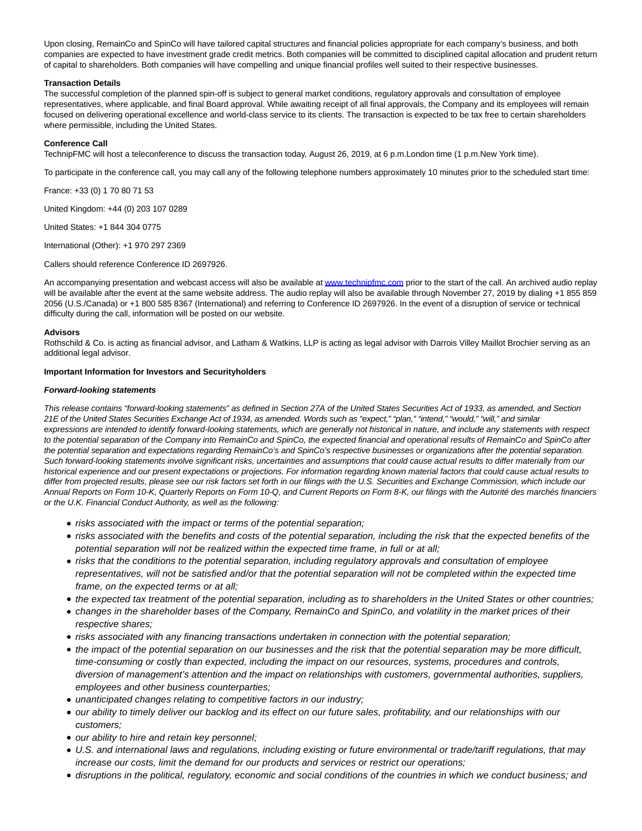Upon closing, RemainCo and SpinCo will have tailored capital structures and financial policies appropriate for each company's business, and both companies are expected to have investment grade credit metrics. Both companies will be committed to disciplined capital allocation and prudent return of capital to shareholders. Both companies will have compelling and unique financial profiles well suited to their respective businesses.

## **Transaction Details**

The successful completion of the planned spin-off is subject to general market conditions, regulatory approvals and consultation of employee representatives, where applicable, and final Board approval. While awaiting receipt of all final approvals, the Company and its employees will remain focused on delivering operational excellence and world-class service to its clients. The transaction is expected to be tax free to certain shareholders where permissible, including the United States.

## **Conference Call**

TechnipFMC will host a teleconference to discuss the transaction today, August 26, 2019, at 6 p.m.London time (1 p.m.New York time).

To participate in the conference call, you may call any of the following telephone numbers approximately 10 minutes prior to the scheduled start time:

France: +33 (0) 1 70 80 71 53

United Kingdom: +44 (0) 203 107 0289

United States: +1 844 304 0775

International (Other): +1 970 297 2369

Callers should reference Conference ID 2697926.

An accompanying presentation and webcast access will also be available at [www.technipfmc.com p](https://cts.businesswire.com/ct/CT?id=smartlink&url=http%3A%2F%2Fwww.technipfmc.com&esheet=52083784&newsitemid=20190826005479&lan=en-US&anchor=www.technipfmc.com&index=1&md5=18cbf03ec8b59670a2f46d4a215ef111)rior to the start of the call. An archived audio replay will be available after the event at the same website address. The audio replay will also be available through November 27, 2019 by dialing +1 855 859 2056 (U.S./Canada) or +1 800 585 8367 (International) and referring to Conference ID 2697926. In the event of a disruption of service or technical difficulty during the call, information will be posted on our website.

### **Advisors**

Rothschild & Co. is acting as financial advisor, and Latham & Watkins, LLP is acting as legal advisor with Darrois Villey Maillot Brochier serving as an additional legal advisor.

### **Important Information for Investors and Securityholders**

### **Forward-looking statements**

This release contains "forward-looking statements" as defined in Section 27A of the United States Securities Act of 1933, as amended, and Section 21E of the United States Securities Exchange Act of 1934, as amended. Words such as "expect," "plan," "intend," "would," "will," and similar expressions are intended to identify forward-looking statements, which are generally not historical in nature, and include any statements with respect to the potential separation of the Company into RemainCo and SpinCo, the expected financial and operational results of RemainCo and SpinCo after the potential separation and expectations regarding RemainCo's and SpinCo's respective businesses or organizations after the potential separation. Such forward-looking statements involve significant risks, uncertainties and assumptions that could cause actual results to differ materially from our historical experience and our present expectations or projections. For information regarding known material factors that could cause actual results to differ from projected results, please see our risk factors set forth in our filings with the U.S. Securities and Exchange Commission, which include our Annual Reports on Form 10-K, Quarterly Reports on Form 10-Q, and Current Reports on Form 8-K, our filings with the Autorité des marchés financiers or the U.K. Financial Conduct Authority, as well as the following:

- risks associated with the impact or terms of the potential separation;
- risks associated with the benefits and costs of the potential separation, including the risk that the expected benefits of the potential separation will not be realized within the expected time frame, in full or at all;
- risks that the conditions to the potential separation, including regulatory approvals and consultation of employee representatives, will not be satisfied and/or that the potential separation will not be completed within the expected time frame, on the expected terms or at all;
- the expected tax treatment of the potential separation, including as to shareholders in the United States or other countries;
- changes in the shareholder bases of the Company, RemainCo and SpinCo, and volatility in the market prices of their respective shares;
- risks associated with any financing transactions undertaken in connection with the potential separation;
- the impact of the potential separation on our businesses and the risk that the potential separation may be more difficult, time-consuming or costly than expected, including the impact on our resources, systems, procedures and controls, diversion of management's attention and the impact on relationships with customers, governmental authorities, suppliers, employees and other business counterparties;
- unanticipated changes relating to competitive factors in our industry;
- our ability to timely deliver our backlog and its effect on our future sales, profitability, and our relationships with our customers;
- our ability to hire and retain key personnel;
- U.S. and international laws and regulations, including existing or future environmental or trade/tariff regulations, that may increase our costs, limit the demand for our products and services or restrict our operations;
- disruptions in the political, regulatory, economic and social conditions of the countries in which we conduct business; and